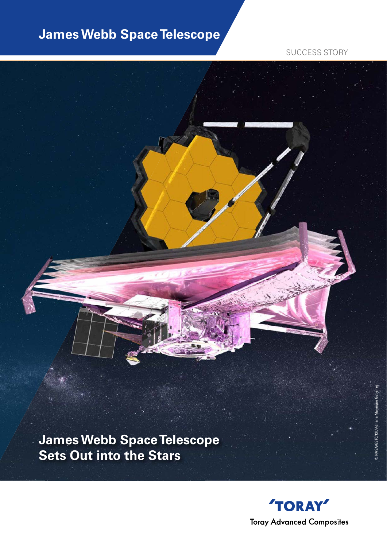# **James Webb Space Telescope**

SUCCESS STORY



**James Webb Space Telescope Sets Out into the Stars**

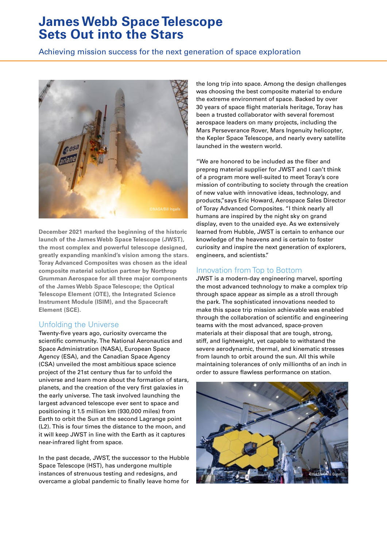# **James Webb Space Telescope Sets Out into the Stars**

Achieving mission success for the next generation of space exploration



**December 2021 marked the beginning of the historic launch of the James Webb Space Telescope (JWST), the most complex and powerful telescope designed, greatly expanding mankind's vision among the stars. Toray Advanced Composites was chosen as the ideal composite material solution partner by Northrop Grumman Aerospace for all three major components of the James Webb Space Telescope; the Optical Telescope Element (OTE), the Integrated Science Instrument Module (ISIM), and the Spacecraft Element (SCE).**

### Unfolding the Universe

Twenty-five years ago, curiosity overcame the scientific community. The National Aeronautics and Space Administration (NASA), European Space Agency (ESA), and the Canadian Space Agency (CSA) unveiled the most ambitious space science project of the 21st century thus far to unfold the universe and learn more about the formation of stars, planets, and the creation of the very first galaxies in the early universe. The task involved launching the largest advanced telescope ever sent to space and positioning it 1.5 million km (930,000 miles) from Earth to orbit the Sun at the second Lagrange point (L2). This is four times the distance to the moon, and it will keep JWST in line with the Earth as it captures near-infrared light from space.

In the past decade, JWST, the successor to the Hubble Space Telescope (HST), has undergone multiple instances of strenuous testing and redesigns, and overcame a global pandemic to finally leave home for

the long trip into space. Among the design challenges was choosing the best composite material to endure the extreme environment of space. Backed by over 30 years of space flight materials heritage, Toray has been a trusted collaborator with several foremost aerospace leaders on many projects, including the Mars Perseverance Rover, Mars Ingenuity helicopter, the Kepler Space Telescope, and nearly every satellite launched in the western world.

"We are honored to be included as the fiber and prepreg material supplier for JWST and I can't think of a program more well-suited to meet Toray's core mission of contributing to society through the creation of new value with innovative ideas, technology, and products,"says Eric Howard, Aerospace Sales Director of Toray Advanced Composites. "I think nearly all humans are inspired by the night sky on grand display, even to the unaided eye. As we extensively learned from Hubble, JWST is certain to enhance our knowledge of the heavens and is certain to foster curiosity and inspire the next generation of explorers, engineers, and scientists."

## Innovation from Top to Bottom

JWST is a modern-day engineering marvel, sporting the most advanced technology to make a complex trip through space appear as simple as a stroll through the park. The sophisticated innovations needed to make this space trip mission achievable was enabled through the collaboration of scientific and engineering teams with the most advanced, space-proven materials at their disposal that are tough, strong, stiff, and lightweight, yet capable to withstand the severe aerodynamic, thermal, and kinematic stresses from launch to orbit around the sun. All this while maintaining tolerances of only millionths of an inch in order to assure flawless performance on station.

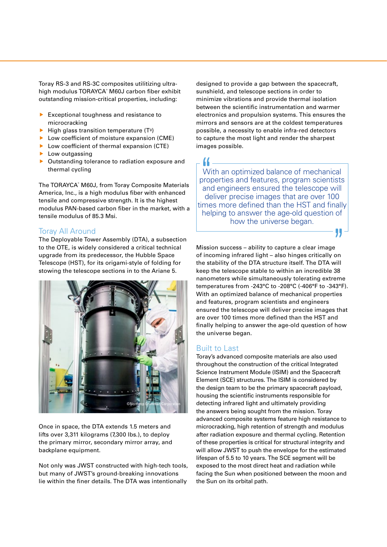Toray RS-3 and RS-3C composites utilitizing ultrahigh modulus TORAYCA® M60J carbon fiber exhibit outstanding mission-critical properties, including:

- Exceptional toughness and resistance to microcracking
- $\blacktriangleright$  High glass transition temperature (T<sup>g</sup>)
- Low coefficient of moisture expansion (CME)
- Low coefficient of thermal expansion (CTE)
- $\blacktriangleright$  Low outgassing
- $\blacktriangleright$  Outstanding tolerance to radiation exposure and thermal cycling

The TORAYCA® M60J, from Toray Composite Materials America, Inc., is a high modulus fiber with enhanced tensile and compressive strength. It is the highest modulus PAN-based carbon fiber in the market, with a tensile modulus of 85.3 Msi.

#### Toray All Around

The Deployable Tower Assembly (DTA), a subsection to the OTE, is widely considered a critical technical upgrade from its predecessor, the Hubble Space Telescope (HST), for its origami-style of folding for stowing the telescope sections in to the Ariane 5.



Once in space, the DTA extends 1.5 meters and lifts over 3,311 kilograms (7,300 lbs.), to deploy the primary mirror, secondary mirror array, and backplane equipment.

Not only was JWST constructed with high-tech tools, but many of JWST's ground-breaking innovations lie within the finer details. The DTA was intentionally

designed to provide a gap between the spacecraft, sunshield, and telescope sections in order to minimize vibrations and provide thermal isolation between the scientific instrumentation and warmer electronics and propulsion systems. This ensures the mirrors and sensors are at the coldest temperatures possible, a necessity to enable infra-red detectors to capture the most light and render the sharpest images possible.

" With an optimized balance of mechanical properties and features, program scientists and engineers ensured the telescope will deliver precise images that are over 100 times more defined than the HST and finally helping to answer the age-old question of how the universe began.

99

Mission success – ability to capture a clear image of incoming infrared light – also hinges critically on the stability of the DTA structure itself. The DTA will keep the telescope stable to within an incredible 38 nanometers while simultaneously tolerating extreme temperatures from -243°C to -208°C (-406°F to -343°F). With an optimized balance of mechanical properties and features, program scientists and engineers ensured the telescope will deliver precise images that are over 100 times more defined than the HST and finally helping to answer the age-old question of how the universe began.

### Built to Last

Toray's advanced composite materials are also used throughout the construction of the critical Integrated Science Instrument Module (ISIM) and the Spacecraft Element (SCE) structures. The ISIM is considered by the design team to be the primary spacecraft payload, housing the scientific instruments responsible for detecting infrared light and ultimately providing the answers being sought from the mission. Toray advanced composite systems feature high resistance to microcracking, high retention of strength and modulus after radiation exposure and thermal cycling. Retention of these properties is critical for structural integrity and will allow JWST to push the envelope for the estimated lifespan of 5.5 to 10 years. The SCE segment will be exposed to the most direct heat and radiation while facing the Sun when positioned between the moon and the Sun on its orbital path.